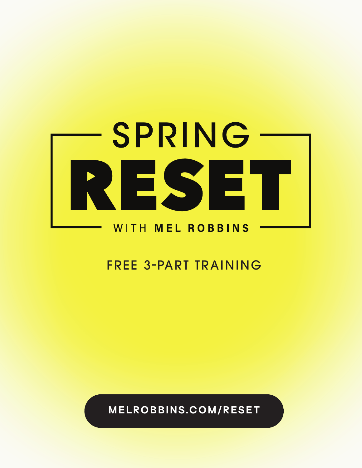

## FREE 3-PART TRAINING

**MELROBBINS.COM/RESET**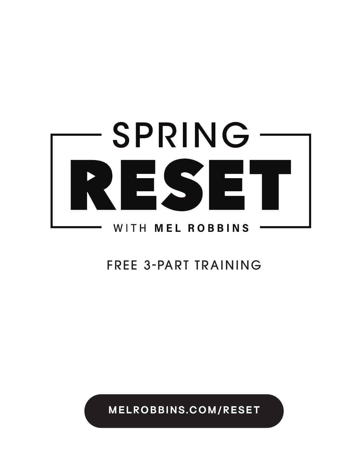

## FREE 3-PART TRAINING

**MELROBBINS.COM/RESET**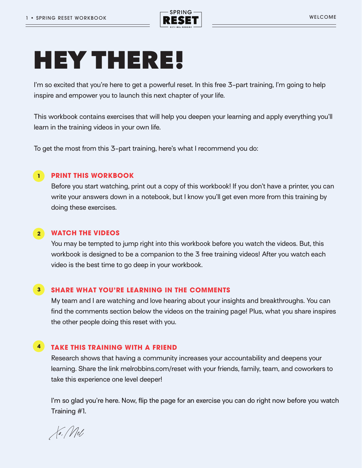

# HEY THERE!

I'm so excited that you're here to get a powerful reset. In this free 3-part training, I'm going to help inspire and empower you to launch this next chapter of your life.

This workbook contains exercises that will help you deepen your learning and apply everything you'll learn in the training videos in your own life.

To get the most from this 3-part training, here's what I recommend you do:



#### **PRINT THIS WORKBOOK**

Before you start watching, print out a copy of this workbook! If you don't have a printer, you can write your answers down in a notebook, but I know you'll get even more from this training by doing these exercises.

#### **WATCH THE VIDEOS 2**

You may be tempted to jump right into this workbook before you watch the videos. But, this workbook is designed to be a companion to the 3 free training videos! After you watch each video is the best time to go deep in your workbook.

#### **SHARE WHAT YOU'RE LEARNING IN THE COMMENTS 3**

My team and I are watching and love hearing about your insights and breakthroughs. You can find the comments section below the videos on the training page! Plus, what you share inspires the other people doing this reset with you.

#### **TAKE THIS TRAINING WITH A FRIEND 4**

Research shows that having a community increases your accountability and deepens your learning. Share the link melrobbins.com/reset with your friends, family, team, and coworkers to take this experience one level deeper!

I'm so glad you're here. Now, flip the page for an exercise you can do right now before you watch Training #1.

Xo, Mel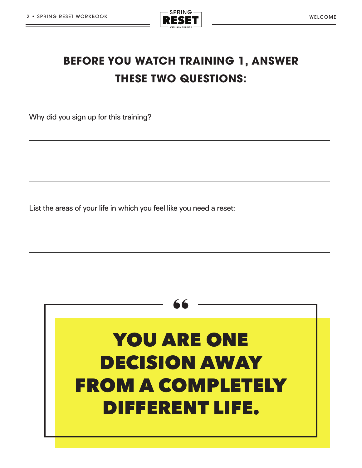

## **BEFORE YOU WATCH TRAINING 1, ANSWER THESE TWO QUESTIONS:**

Why did you sign up for this training?

List the areas of your life in which you feel like you need a reset:

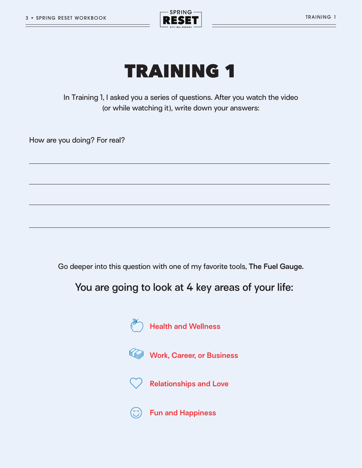

## TRAINING 1

In Training 1, I asked you a series of questions. After you watch the video (or while watching it), write down your answers:

How are you doing? For real?

Go deeper into this question with one of my favorite tools, **The Fuel Gauge.**

### **You are going to look at 4 key areas of your life:**

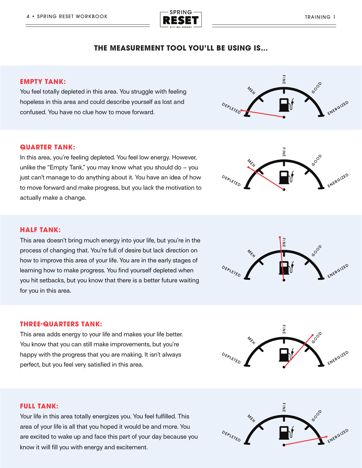

#### **THE MEASUREMENT TOOL YOU'LL BE USING IS…**

#### **EMPTY TANK:**

You feel totally depleted in this area. You struggle with feeling hopeless in this area and could describe yourself as lost and confused. You have no clue how to move forward.

#### **QUARTER TANK:**

In this area, you're feeling depleted. You feel low energy. However, unlike the "Empty Tank," you may know what you should do – you just can't manage to do anything about it. You have an idea of how to move forward and make progress, but you lack the motivation to actually make a change.

#### **HALF TANK:**

This area doesn't bring much energy into your life, but you're in the process of changing that. You're full of desire but lack direction on how to improve this area of your life. You are in the early stages of learning how to make progress. You find yourself depleted when you hit setbacks, but you know that there is a better future waiting for you in this area.

#### **THREE-QUARTERS TANK:**

This area adds energy to your life and makes your life better. You know that you can still make improvements, but you're happy with the progress that you are making. It isn't always perfect, but you feel very satisfied in this area.

#### **FULL TANK:**

Your life in this area totally energizes you. You feel fulfilled. This area of your life is all that you hoped it would be and more. You are excited to wake up and face this part of your day because you know it will fill you with energy and excitement.









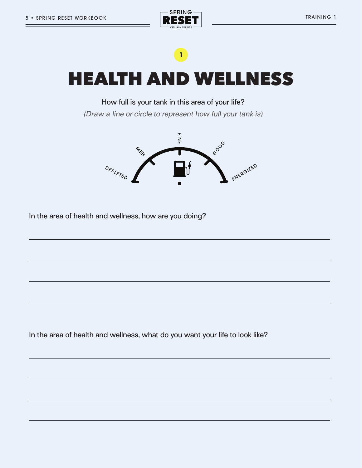

## HEALTH AND WELLNESS

#### How full is your tank in this area of your life?

*(Draw a line or circle to represent how full your tank is)*



In the area of health and wellness, how are you doing?

In the area of health and wellness, what do you want your life to look like?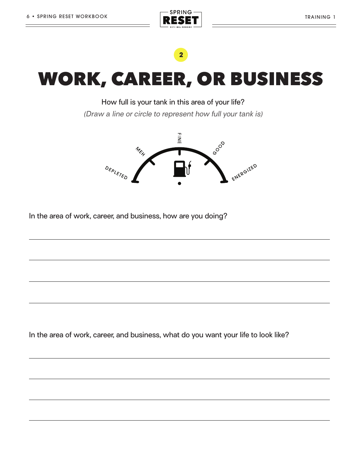

## WORK, CAREER, OR BUSINESS

#### How full is your tank in this area of your life?

*(Draw a line or circle to represent how full your tank is)*



In the area of work, career, and business, how are you doing?

In the area of work, career, and business, what do you want your life to look like?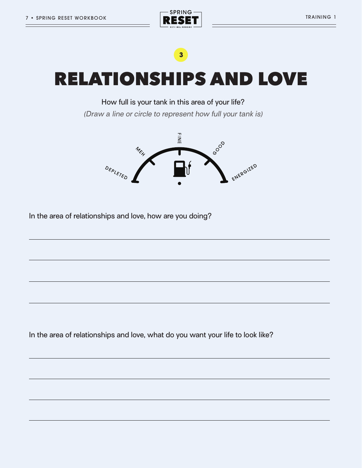

## RELATIONSHIPS AND LOVE

#### How full is your tank in this area of your life?

*(Draw a line or circle to represent how full your tank is)*



In the area of relationships and love, how are you doing?

In the area of relationships and love, what do you want your life to look like?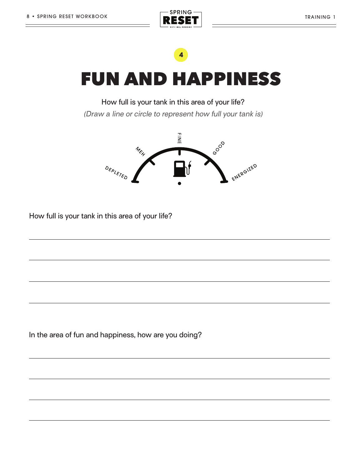

## FUN AND HAPPINESS

#### How full is your tank in this area of your life?

*(Draw a line or circle to represent how full your tank is)*



How full is your tank in this area of your life?

In the area of fun and happiness, how are you doing?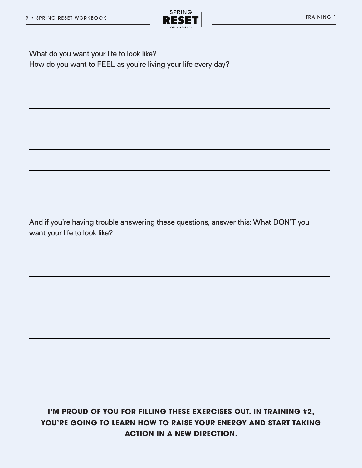

What do you want your life to look like? How do you want to FEEL as you're living your life every day?

And if you're having trouble answering these questions, answer this: What DON'T you want your life to look like?

**I'M PROUD OF YOU FOR FILLING THESE EXERCISES OUT. IN TRAINING #2, YOU'RE GOING TO LEARN HOW TO RAISE YOUR ENERGY AND START TAKING ACTION IN A NEW DIRECTION.**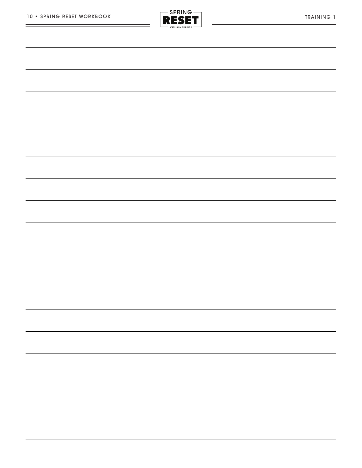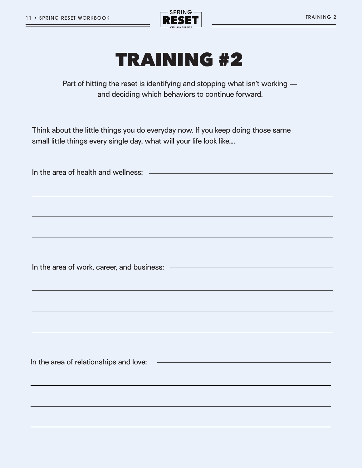

## TRAINING #2

Part of hitting the reset is identifying and stopping what isn't working and deciding which behaviors to continue forward.

Think about the little things you do everyday now. If you keep doing those same small little things every single day, what will your life look like….

In the area of health and wellness: In the area of work, career, and business:  $\overline{\phantom{a}}$ In the area of relationships and love: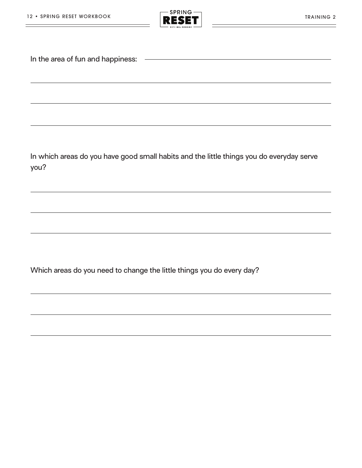

In the area of fun and happiness: –––––––

In which areas do you have good small habits and the little things you do everyday serve you?

Which areas do you need to change the little things you do every day?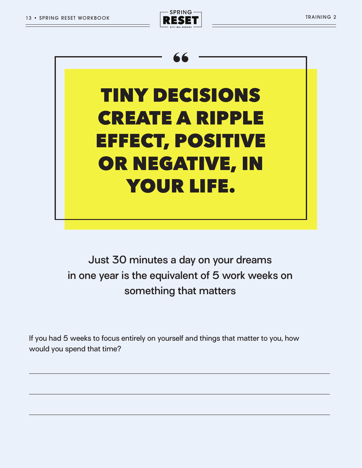



**Just 30 minutes a day on your dreams in one year is the equivalent of 5 work weeks on something that matters**

If you had 5 weeks to focus entirely on yourself and things that matter to you, how would you spend that time?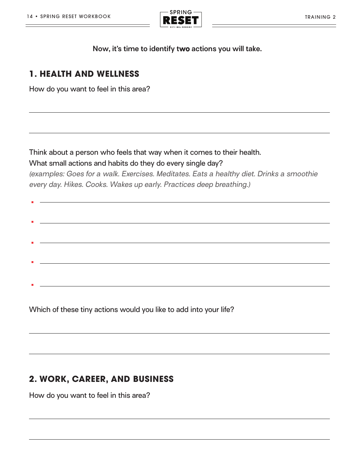

**Now, it's time to identify two actions you will take.**

### **1. HEALTH AND WELLNESS**

How do you want to feel in this area?

Think about a person who feels that way when it comes to their health. What small actions and habits do they do every single day?

*(examples: Goes for a walk. Exercises. Meditates. Eats a healthy diet. Drinks a smoothie every day. Hikes. Cooks. Wakes up early. Practices deep breathing.)*

| <u> 1986 - An Dùbhlachd ann an Dùbhlachd ann an Dùbhlachd ann an Dùbhlachd ann an Dùbhlachd ann an Dùbhlachd ann a</u>   |  |  |
|--------------------------------------------------------------------------------------------------------------------------|--|--|
|                                                                                                                          |  |  |
|                                                                                                                          |  |  |
|                                                                                                                          |  |  |
| <b>E</b> The contract of the contract of the contract of the contract of the contract of the contract of the contract of |  |  |
|                                                                                                                          |  |  |
|                                                                                                                          |  |  |
|                                                                                                                          |  |  |
|                                                                                                                          |  |  |
|                                                                                                                          |  |  |
|                                                                                                                          |  |  |
|                                                                                                                          |  |  |
|                                                                                                                          |  |  |
|                                                                                                                          |  |  |
|                                                                                                                          |  |  |
|                                                                                                                          |  |  |

Which of these tiny actions would you like to add into your life?

### **2. WORK, CAREER, AND BUSINESS**

How do you want to feel in this area?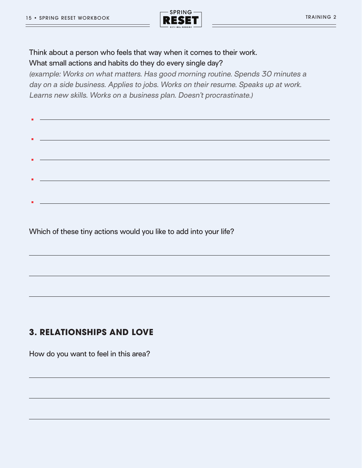

### Think about a person who feels that way when it comes to their work.

#### What small actions and habits do they do every single day?

*(example: Works on what matters. Has good morning routine. Spends 30 minutes a day on a side business. Applies to jobs. Works on their resume. Speaks up at work. Learns new skills. Works on a business plan. Doesn't procrastinate.)*

| <u> Andreas Andreas Andreas Andreas Andreas Andreas Andreas Andreas Andreas Andreas Andreas Andreas Andreas Andreas</u> |
|-------------------------------------------------------------------------------------------------------------------------|
|                                                                                                                         |
|                                                                                                                         |
|                                                                                                                         |
|                                                                                                                         |
|                                                                                                                         |
|                                                                                                                         |
|                                                                                                                         |
| <u> 1989 - Johann Stein, mars an deus Amerikaansk kommunister (</u>                                                     |
|                                                                                                                         |
|                                                                                                                         |
|                                                                                                                         |
|                                                                                                                         |
|                                                                                                                         |
|                                                                                                                         |
|                                                                                                                         |
| <u> Andreas Andreas (andreas Andreas Andreas Andreas Andreas Andreas Andreas Andreas Andreas Andreas Andreas Andr</u>   |
|                                                                                                                         |
|                                                                                                                         |
|                                                                                                                         |
|                                                                                                                         |
|                                                                                                                         |
|                                                                                                                         |
|                                                                                                                         |
| the contract of the contract of the contract of the contract of the contract of the contract of the contract of         |
|                                                                                                                         |
|                                                                                                                         |
|                                                                                                                         |
|                                                                                                                         |
|                                                                                                                         |
|                                                                                                                         |
|                                                                                                                         |
|                                                                                                                         |
| <u> 1989 - Johann John Stoff, deutscher Stoffen und der Stoffen und der Stoffen und der Stoffen und der Stoffen und</u> |
|                                                                                                                         |

Which of these tiny actions would you like to add into your life?

### **3. RELATIONSHIPS AND LOVE**

How do you want to feel in this area?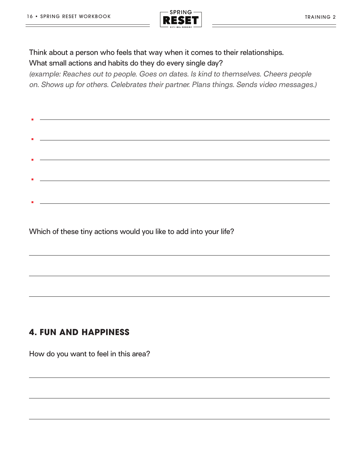

### Think about a person who feels that way when it comes to their relationships. What small actions and habits do they do every single day?

*(example: Reaches out to people. Goes on dates. Is kind to themselves. Cheers people on. Shows up for others. Celebrates their partner. Plans things. Sends video messages.)*

| <u> 1989 - Andrea Santa Andrea Andrea Andrea Andrea Andrea Andrea Andrea Andrea Andrea Andrea Andrea Andrea Andr</u>  |
|-----------------------------------------------------------------------------------------------------------------------|
|                                                                                                                       |
|                                                                                                                       |
|                                                                                                                       |
|                                                                                                                       |
|                                                                                                                       |
|                                                                                                                       |
|                                                                                                                       |
|                                                                                                                       |
|                                                                                                                       |
| and the control of the control of the control of the control of the control of the control of the control of the      |
|                                                                                                                       |
|                                                                                                                       |
|                                                                                                                       |
|                                                                                                                       |
|                                                                                                                       |
|                                                                                                                       |
|                                                                                                                       |
|                                                                                                                       |
| <u> 1989 - Johann Barbara, martxa alemaniar arg</u>                                                                   |
|                                                                                                                       |
|                                                                                                                       |
|                                                                                                                       |
|                                                                                                                       |
|                                                                                                                       |
|                                                                                                                       |
|                                                                                                                       |
|                                                                                                                       |
|                                                                                                                       |
| <u> 1989 - Johann Stoff, amerikansk politiker (d. 1989)</u>                                                           |
|                                                                                                                       |
|                                                                                                                       |
|                                                                                                                       |
|                                                                                                                       |
|                                                                                                                       |
|                                                                                                                       |
|                                                                                                                       |
|                                                                                                                       |
|                                                                                                                       |
|                                                                                                                       |
| <u> 1989 - Johann Stein, marwolaethau a bhann an t-Amhair Aonaichte ann an t-Amhair Aonaichte ann an t-Amhair Aon</u> |
|                                                                                                                       |

Which of these tiny actions would you like to add into your life?

### **4. FUN AND HAPPINESS**

How do you want to feel in this area?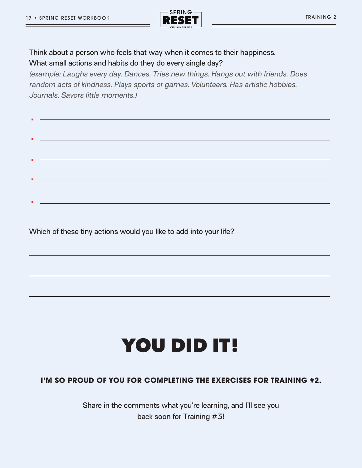

#### Think about a person who feels that way when it comes to their happiness. What small actions and habits do they do every single day?

*(example: Laughs every day. Dances. Tries new things. Hangs out with friends. Does random acts of kindness. Plays sports or games. Volunteers. Has artistic hobbies. Journals. Savors little moments.)*

|   | <u> 1980 - Andrea Andrea Andrea Andrea Andrea Andrea Andrea Andrea Andrea Andrea Andrea Andrea Andrea Andrea Andr</u>                                                                                                                |
|---|--------------------------------------------------------------------------------------------------------------------------------------------------------------------------------------------------------------------------------------|
|   |                                                                                                                                                                                                                                      |
|   |                                                                                                                                                                                                                                      |
|   |                                                                                                                                                                                                                                      |
|   |                                                                                                                                                                                                                                      |
|   |                                                                                                                                                                                                                                      |
|   |                                                                                                                                                                                                                                      |
|   |                                                                                                                                                                                                                                      |
|   |                                                                                                                                                                                                                                      |
| п | <u> 1989 - Andrea Stadt Britain, amerikansk politik (</u>                                                                                                                                                                            |
|   |                                                                                                                                                                                                                                      |
|   |                                                                                                                                                                                                                                      |
|   |                                                                                                                                                                                                                                      |
|   |                                                                                                                                                                                                                                      |
|   |                                                                                                                                                                                                                                      |
|   |                                                                                                                                                                                                                                      |
|   |                                                                                                                                                                                                                                      |
|   |                                                                                                                                                                                                                                      |
|   |                                                                                                                                                                                                                                      |
|   | $\blacksquare$ . The contract of the contract of the contract of the contract of the contract of the contract of the contract of the contract of the contract of the contract of the contract of the contract of the contract of the |
|   |                                                                                                                                                                                                                                      |
|   |                                                                                                                                                                                                                                      |
|   |                                                                                                                                                                                                                                      |
|   |                                                                                                                                                                                                                                      |
|   |                                                                                                                                                                                                                                      |
|   |                                                                                                                                                                                                                                      |
|   |                                                                                                                                                                                                                                      |
|   | <u> 1980 - Johann Barn, fransk politik (f. 1980)</u>                                                                                                                                                                                 |
|   |                                                                                                                                                                                                                                      |
|   |                                                                                                                                                                                                                                      |
|   |                                                                                                                                                                                                                                      |
|   |                                                                                                                                                                                                                                      |
|   |                                                                                                                                                                                                                                      |
|   |                                                                                                                                                                                                                                      |
|   |                                                                                                                                                                                                                                      |
|   |                                                                                                                                                                                                                                      |
|   | <u> 1989 - Andrea Stadt, fransk politiker (d. 1989)</u>                                                                                                                                                                              |
|   |                                                                                                                                                                                                                                      |
|   |                                                                                                                                                                                                                                      |

Which of these tiny actions would you like to add into your life?

# YOU DID IT!

#### **I'M SO PROUD OF YOU FOR COMPLETING THE EXERCISES FOR TRAINING #2.**

Share in the comments what you're learning, and I'll see you back soon for Training #3!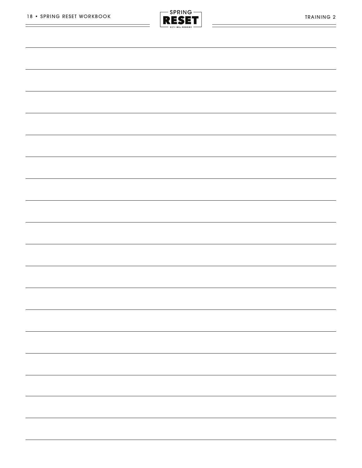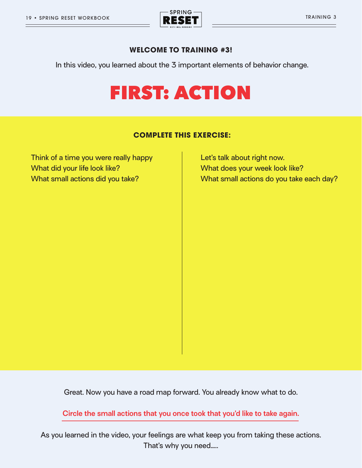

#### **WELCOME TO TRAINING #3!**

In this video, you learned about the 3 important elements of behavior change.

## FIRST: ACTION

#### **COMPLETE THIS EXERCISE:**

Think of a time you were really happy What did your life look like? What small actions did you take?

Let's talk about right now. What does your week look like? What small actions do you take each day?

Great. Now you have a road map forward. You already know what to do.

**Circle the small actions that you once took that you'd like to take again.**

As you learned in the video, your feelings are what keep you from taking these actions. That's why you need…..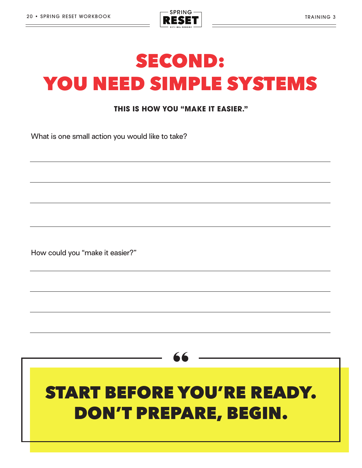

## SECOND: YOU NEED SIMPLE SYSTEMS

#### **THIS IS HOW YOU "MAKE IT EASIER."**

What is one small action you would like to take?

How could you "make it easier?"

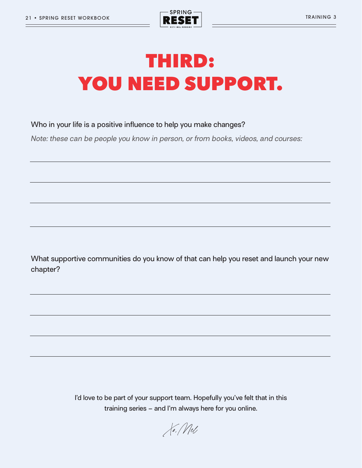

## THIRD: YOU NEED SUPPORT.

Who in your life is a positive influence to help you make changes?

*Note: these can be people you know in person, or from books, videos, and courses:*

What supportive communities do you know of that can help you reset and launch your new chapter?

> I'd love to be part of your support team. Hopefully you've felt that in this training series – and I'm always here for you online.

Xo, Mel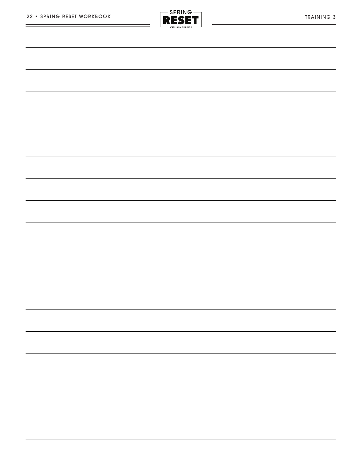Ξ

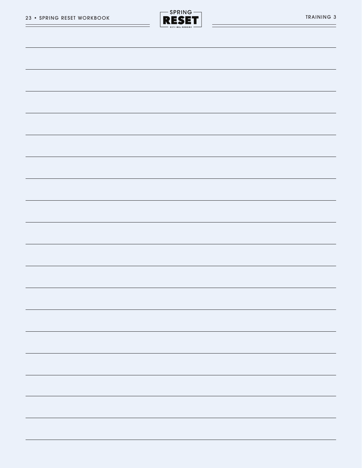$\equiv$